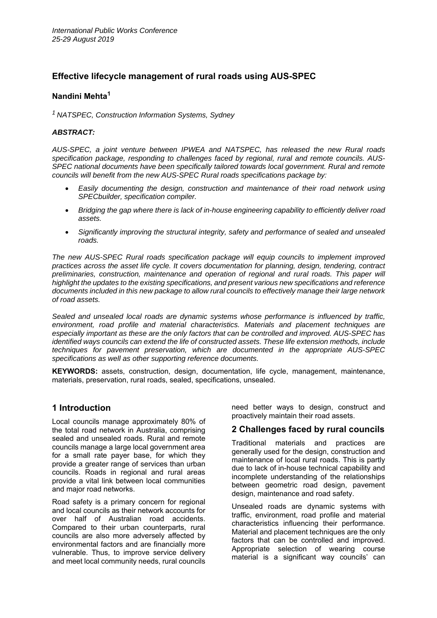# **Effective lifecycle management of rural roads using AUS-SPEC**

## **Nandini Mehta<sup>1</sup>**

*1 NATSPEC, Construction Information Systems, Sydney* 

## *ABSTRACT:*

*AUS-SPEC, a joint venture between IPWEA and NATSPEC, has released the new Rural roads specification package, responding to challenges faced by regional, rural and remote councils. AUS-SPEC national documents have been specifically tailored towards local government. Rural and remote councils will benefit from the new AUS-SPEC Rural roads specifications package by:* 

- *Easily documenting the design, construction and maintenance of their road network using SPECbuilder, specification compiler.*
- *Bridging the gap where there is lack of in-house engineering capability to efficiently deliver road assets.*
- *Significantly improving the structural integrity, safety and performance of sealed and unsealed roads.*

*The new AUS-SPEC Rural roads specification package will equip councils to implement improved practices across the asset life cycle. It covers documentation for planning, design, tendering, contract*  preliminaries, construction, maintenance and operation of regional and rural roads. This paper will *highlight the updates to the existing specifications, and present various new specifications and reference documents included in this new package to allow rural councils to effectively manage their large network of road assets.* 

*Sealed and unsealed local roads are dynamic systems whose performance is influenced by traffic, environment, road profile and material characteristics. Materials and placement techniques are especially important as these are the only factors that can be controlled and improved. AUS-SPEC has identified ways councils can extend the life of constructed assets. These life extension methods, include techniques for pavement preservation, which are documented in the appropriate AUS-SPEC specifications as well as other supporting reference documents.* 

**KEYWORDS:** assets, construction, design, documentation, life cycle, management, maintenance, materials, preservation, rural roads, sealed, specifications, unsealed.

## **1 Introduction**

Local councils manage approximately 80% of the total road network in Australia, comprising sealed and unsealed roads. Rural and remote councils manage a large local government area for a small rate payer base, for which they provide a greater range of services than urban councils. Roads in regional and rural areas provide a vital link between local communities and major road networks.

Road safety is a primary concern for regional and local councils as their network accounts for over half of Australian road accidents. Compared to their urban counterparts, rural councils are also more adversely affected by environmental factors and are financially more vulnerable. Thus, to improve service delivery and meet local community needs, rural councils need better ways to design, construct and proactively maintain their road assets.

# **2 Challenges faced by rural councils**

Traditional materials and practices are generally used for the design, construction and maintenance of local rural roads. This is partly due to lack of in-house technical capability and incomplete understanding of the relationships between geometric road design, pavement design, maintenance and road safety.

Unsealed roads are dynamic systems with traffic, environment, road profile and material characteristics influencing their performance. Material and placement techniques are the only factors that can be controlled and improved. Appropriate selection of wearing course material is a significant way councils' can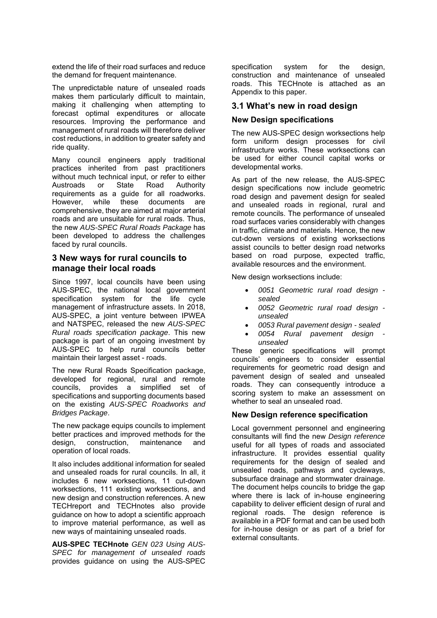extend the life of their road surfaces and reduce the demand for frequent maintenance.

The unpredictable nature of unsealed roads makes them particularly difficult to maintain, making it challenging when attempting to forecast optimal expenditures or allocate resources. Improving the performance and management of rural roads will therefore deliver cost reductions, in addition to greater safety and ride quality.

Many council engineers apply traditional practices inherited from past practitioners without much technical input, or refer to either Austroads or State Road Authority requirements as a guide for all roadworks. However, while these documents are comprehensive, they are aimed at major arterial roads and are unsuitable for rural roads. Thus, the new *AUS-SPEC Rural Roads Package* has been developed to address the challenges faced by rural councils.

## **3 New ways for rural councils to manage their local roads**

Since 1997, local councils have been using AUS-SPEC, the national local government specification system for the life cycle management of infrastructure assets. In 2018, AUS-SPEC, a joint venture between IPWEA and NATSPEC, released the new *AUS-SPEC Rural roads specification package*. This new package is part of an ongoing investment by AUS-SPEC to help rural councils better maintain their largest asset - roads.

The new Rural Roads Specification package, developed for regional, rural and remote councils, provides a simplified set of specifications and supporting documents based on the existing *AUS-SPEC Roadworks and Bridges Package*.

The new package equips councils to implement better practices and improved methods for the design, construction, maintenance and operation of local roads.

It also includes additional information for sealed and unsealed roads for rural councils. In all, it includes 6 new worksections, 11 cut-down worksections, 111 existing worksections, and new design and construction references. A new TECHreport and TECHnotes also provide guidance on how to adopt a scientific approach to improve material performance, as well as new ways of maintaining unsealed roads.

**AUS-SPEC TECHnote** *GEN 023 Using AUS-SPEC for management of unsealed roads*  provides guidance on using the AUS-SPEC specification system for the design, construction and maintenance of unsealed roads. This TECHnote is attached as an Appendix to this paper.

# **3.1 What's new in road design**

## **New Design specifications**

The new AUS-SPEC design worksections help form uniform design processes for civil infrastructure works. These worksections can be used for either council capital works or developmental works.

As part of the new release, the AUS-SPEC design specifications now include geometric road design and pavement design for sealed and unsealed roads in regional, rural and remote councils. The performance of unsealed road surfaces varies considerably with changes in traffic, climate and materials. Hence, the new cut-down versions of existing worksections assist councils to better design road networks based on road purpose, expected traffic, available resources and the environment.

New design worksections include:

- *0051 Geometric rural road design sealed*
- *0052 Geometric rural road design unsealed*
- *0053 Rural pavement design sealed*
- *0054 Rural pavement design unsealed*

These generic specifications will prompt councils' engineers to consider essential requirements for geometric road design and pavement design of sealed and unsealed roads. They can consequently introduce a scoring system to make an assessment on whether to seal an unsealed road.

## **New Design reference specification**

Local government personnel and engineering consultants will find the new *Design reference* useful for all types of roads and associated infrastructure. It provides essential quality requirements for the design of sealed and unsealed roads, pathways and cycleways, subsurface drainage and stormwater drainage. The document helps councils to bridge the gap where there is lack of in-house engineering capability to deliver efficient design of rural and regional roads. The design reference is available in a PDF format and can be used both for in-house design or as part of a brief for external consultants.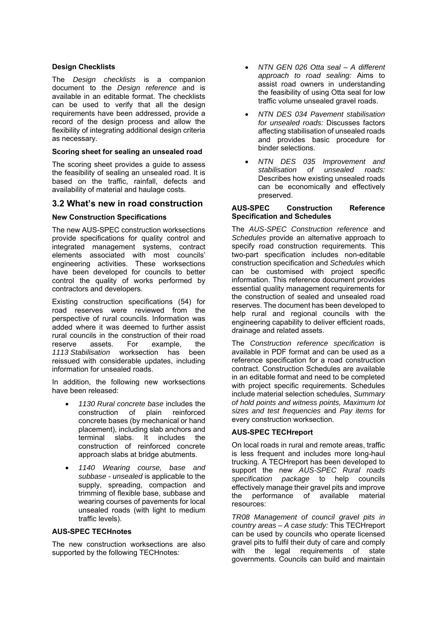#### **Design Checklists**

The *Design checklists* is a companion document to the *Design reference* and is available in an editable format. The checklists can be used to verify that all the design requirements have been addressed, provide a record of the design process and allow the flexibility of integrating additional design criteria as necessary.

## **Scoring sheet for sealing an unsealed road**

The scoring sheet provides a guide to assess the feasibility of sealing an unsealed road. It is based on the traffic, rainfall, defects and availability of material and haulage costs.

## **3.2 What's new in road construction**

#### **New Construction Specifications**

The new AUS-SPEC construction worksections provide specifications for quality control and integrated management systems, contract elements associated with most councils' engineering activities. These worksections have been developed for councils to better control the quality of works performed by contractors and developers.

Existing construction specifications (54) for road reserves were reviewed from the perspective of rural councils. Information was added where it was deemed to further assist rural councils in the construction of their road reserve assets. For example, the *1113 Stabilisation* worksection has been reissued with considerable updates, including information for unsealed roads.

In addition, the following new worksections have been released:

- *1130 Rural concrete base* includes the construction of plain reinforced concrete bases (by mechanical or hand placement), including slab anchors and terminal slabs. It includes the construction of reinforced concrete approach slabs at bridge abutments.
- *1140 Wearing course, base and subbase - unsealed* is applicable to the supply, spreading, compaction and trimming of flexible base, subbase and wearing courses of pavements for local unsealed roads (with light to medium traffic levels).

#### **AUS-SPEC TECHnotes**

The new construction worksections are also supported by the following TECHnotes*:* 

- *NTN GEN 026 Otta seal A different approach to road sealing:* Aims to assist road owners in understanding the feasibility of using Otta seal for low traffic volume unsealed gravel roads.
- *NTN DES 034 Pavement stabilisation for unsealed roads:* Discusses factors affecting stabilisation of unsealed roads and provides basic procedure for binder selections.
- *NTN DES 035 Improvement and stabilisation of unsealed roads:*  Describes how existing unsealed roads can be economically and effectively preserved.

#### **AUS-SPEC Construction Reference Specification and Schedules**

The *AUS-SPEC Construction reference* and *Schedules* provide an alternative approach to specify road construction requirements. This two-part specification includes non-editable construction specification and *Schedules* which can be customised with project specific information. This reference document provides essential quality management requirements for the construction of sealed and unsealed road reserves. The document has been developed to help rural and regional councils with the engineering capability to deliver efficient roads, drainage and related assets.

The *Construction reference specification* is available in PDF format and can be used as a reference specification for a road construction contract. Construction Schedules are available in an editable format and need to be completed with project specific requirements. Schedules include material selection schedules, *Summary of hold points and witness points, Maximum lot sizes and test frequencies* and *Pay items* for every construction worksection.

#### **AUS-SPEC TECHreport**

On local roads in rural and remote areas, traffic is less frequent and includes more long-haul trucking. A TECHreport has been developed to support the new *AUS-SPEC Rural roads specification package* to help councils effectively manage their gravel pits and improve the performance of available material resources:

*TR08 Management of council gravel pits in country areas – A case study:* This TECHreport can be used by councils who operate licensed gravel pits to fulfil their duty of care and comply with the legal requirements of state governments. Councils can build and maintain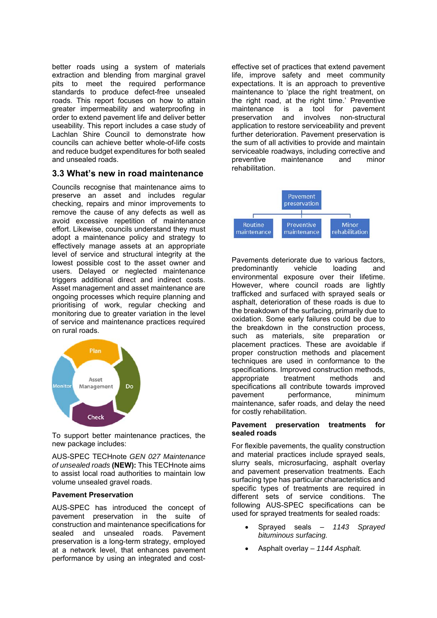better roads using a system of materials extraction and blending from marginal gravel pits to meet the required performance standards to produce defect-free unsealed roads. This report focuses on how to attain greater impermeability and waterproofing in order to extend pavement life and deliver better useability. This report includes a case study of Lachlan Shire Council to demonstrate how councils can achieve better whole-of-life costs and reduce budget expenditures for both sealed and unsealed roads.

## **3.3 What's new in road maintenance**

Councils recognise that maintenance aims to preserve an asset and includes regular checking, repairs and minor improvements to remove the cause of any defects as well as avoid excessive repetition of maintenance effort. Likewise, councils understand they must adopt a maintenance policy and strategy to effectively manage assets at an appropriate level of service and structural integrity at the lowest possible cost to the asset owner and users. Delayed or neglected maintenance triggers additional direct and indirect costs. Asset management and asset maintenance are ongoing processes which require planning and prioritising of work, regular checking and monitoring due to greater variation in the level of service and maintenance practices required on rural roads.



To support better maintenance practices, the new package includes:

AUS-SPEC TECHnote *GEN 027 Maintenance of unsealed roads* **(NEW):** This TECHnote aims to assist local road authorities to maintain low volume unsealed gravel roads.

#### **Pavement Preservation**

AUS-SPEC has introduced the concept of pavement preservation in the suite of construction and maintenance specifications for sealed and unsealed roads. Pavement preservation is a long-term strategy, employed at a network level, that enhances pavement performance by using an integrated and costeffective set of practices that extend pavement life, improve safety and meet community expectations. It is an approach to preventive maintenance to 'place the right treatment, on the right road, at the right time.' Preventive maintenance is a tool for pavement preservation and involves non-structural application to restore serviceability and prevent further deterioration. Pavement preservation is the sum of all activities to provide and maintain serviceable roadways, including corrective and preventive maintenance and minor rehabilitation.



Pavements deteriorate due to various factors, predominantly vehicle loading and environmental exposure over their lifetime. However, where council roads are lightly trafficked and surfaced with sprayed seals or asphalt, deterioration of these roads is due to the breakdown of the surfacing, primarily due to oxidation. Some early failures could be due to the breakdown in the construction process, such as materials, site preparation or placement practices. These are avoidable if proper construction methods and placement techniques are used in conformance to the specifications. Improved construction methods, appropriate treatment methods and specifications all contribute towards improved pavement performance, minimum maintenance, safer roads, and delay the need for costly rehabilitation.

#### **Pavement preservation treatments for sealed roads**

For flexible pavements, the quality construction and material practices include sprayed seals, slurry seals, microsurfacing, asphalt overlay and pavement preservation treatments. Each surfacing type has particular characteristics and specific types of treatments are required in different sets of service conditions. The following AUS-SPEC specifications can be used for sprayed treatments for sealed roads:

- Sprayed seals *1143 Sprayed bituminous surfacing.*
- Asphalt overlay *1144 Asphalt.*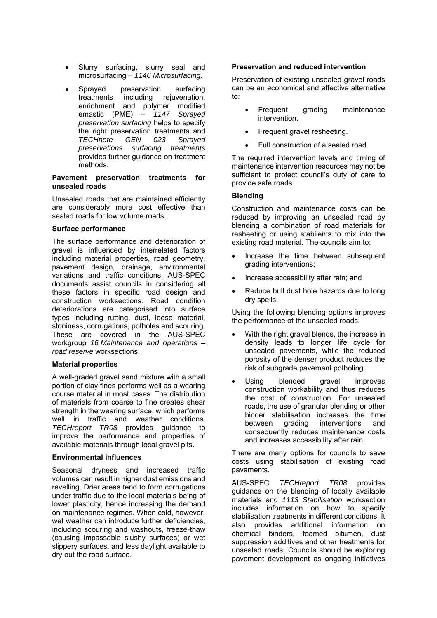- Slurry surfacing, slurry seal and microsurfacing – *1146 Microsurfacing.*
- Sprayed preservation surfacing treatments including rejuvenation, enrichment and polymer modified emastic (PME) – *1147 Sprayed preservation surfacing* helps to specify the right preservation treatments and *TECHnote GEN 023 Sprayed preservations surfacing treatments* provides further guidance on treatment methods.

#### **Pavement preservation treatments for unsealed roads**

Unsealed roads that are maintained efficiently are considerably more cost effective than sealed roads for low volume roads.

## **Surface performance**

The surface performance and deterioration of gravel is influenced by interrelated factors including material properties, road geometry, pavement design, drainage, environmental variations and traffic conditions. AUS-SPEC documents assist councils in considering all these factors in specific road design and construction worksections. Road condition deteriorations are categorised into surface types including rutting, dust, loose material, stoniness, corrugations, potholes and scouring. These are covered in the AUS-SPEC workgroup *16 Maintenance and operations – road reserve* worksections.

## **Material properties**

A well-graded gravel sand mixture with a small portion of clay fines performs well as a wearing course material in most cases. The distribution of materials from coarse to fine creates shear strength in the wearing surface, which performs well in traffic and weather conditions. *TECHreport TR08* provides guidance to improve the performance and properties of available materials through local gravel pits.

#### **Environmental influences**

Seasonal dryness and increased traffic volumes can result in higher dust emissions and ravelling. Drier areas tend to form corrugations under traffic due to the local materials being of lower plasticity, hence increasing the demand on maintenance regimes. When cold, however, wet weather can introduce further deficiencies, including scouring and washouts, freeze-thaw (causing impassable slushy surfaces) or wet slippery surfaces, and less daylight available to dry out the road surface.

#### **Preservation and reduced intervention**

Preservation of existing unsealed gravel roads can be an economical and effective alternative to:

- Frequent grading maintenance intervention.
- Frequent gravel resheeting.
- Full construction of a sealed road.

The required intervention levels and timing of maintenance intervention resources may not be sufficient to protect council's duty of care to provide safe roads.

#### **Blending**

Construction and maintenance costs can be reduced by improving an unsealed road by blending a combination of road materials for resheeting or using stabilents to mix into the existing road material. The councils aim to:

- Increase the time between subsequent grading interventions;
- Increase accessibility after rain; and
- Reduce bull dust hole hazards due to long dry spells.

Using the following blending options improves the performance of the unsealed roads:

- With the right gravel blends, the increase in density leads to longer life cycle for unsealed pavements, while the reduced porosity of the denser product reduces the risk of subgrade pavement potholing.
- Using blended gravel improves construction workability and thus reduces the cost of construction. For unsealed roads, the use of granular blending or other binder stabilisation increases the time between grading interventions and consequently reduces maintenance costs and increases accessibility after rain.

There are many options for councils to save costs using stabilisation of existing road pavements.

AUS-SPEC *TECHreport TR08* provides guidance on the blending of locally available materials and *1113 Stabilisation* worksection includes information on how to specify stabilisation treatments in different conditions. It also provides additional information on chemical binders, foamed bitumen, dust suppression additives and other treatments for unsealed roads. Councils should be exploring pavement development as ongoing initiatives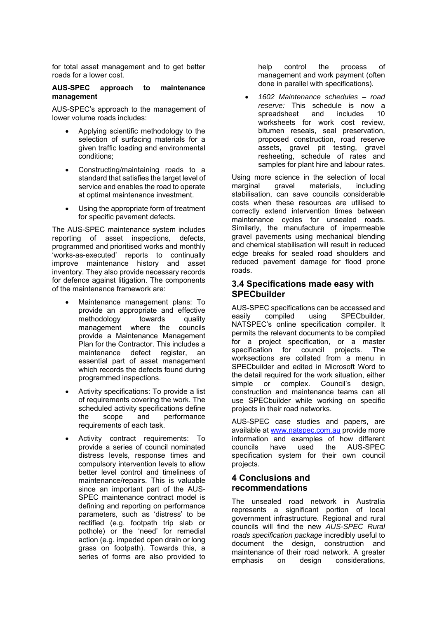for total asset management and to get better roads for a lower cost.

#### **AUS-SPEC approach to maintenance management**

AUS-SPEC's approach to the management of lower volume roads includes:

- Applying scientific methodology to the selection of surfacing materials for a given traffic loading and environmental conditions;
- Constructing/maintaining roads to a standard that satisfies the target level of service and enables the road to operate at optimal maintenance investment.
- Using the appropriate form of treatment for specific pavement defects.

The AUS-SPEC maintenance system includes reporting of asset inspections, defects, programmed and prioritised works and monthly 'works-as-executed' reports to continually improve maintenance history and asset inventory. They also provide necessary records for defence against litigation. The components of the maintenance framework are:

- Maintenance management plans: To provide an appropriate and effective methodology towards quality management where the councils provide a Maintenance Management Plan for the Contractor. This includes a maintenance defect register, an essential part of asset management which records the defects found during programmed inspections.
- Activity specifications: To provide a list of requirements covering the work. The scheduled activity specifications define the scope and performance requirements of each task.
- Activity contract requirements: To provide a series of council nominated distress levels, response times and compulsory intervention levels to allow better level control and timeliness of maintenance/repairs. This is valuable since an important part of the AUS-SPEC maintenance contract model is defining and reporting on performance parameters, such as 'distress' to be rectified (e.g. footpath trip slab or pothole) or the 'need' for remedial action (e.g. impeded open drain or long grass on footpath). Towards this, a series of forms are also provided to

help control the process of management and work payment (often done in parallel with specifications).

 *1602 Maintenance schedules – road reserve:* This schedule is now a spreadsheet and includes 10 worksheets for work cost review, bitumen reseals, seal preservation, proposed construction, road reserve assets, gravel pit testing, gravel resheeting, schedule of rates and samples for plant hire and labour rates.

Using more science in the selection of local marginal gravel materials, including stabilisation, can save councils considerable costs when these resources are utilised to correctly extend intervention times between maintenance cycles for unsealed roads. Similarly, the manufacture of impermeable gravel pavements using mechanical blending and chemical stabilisation will result in reduced edge breaks for sealed road shoulders and reduced pavement damage for flood prone roads.

## **3.4 Specifications made easy with SPECbuilder**

AUS-SPEC specifications can be accessed and easily compiled using SPECbuilder, NATSPEC's online specification compiler. It permits the relevant documents to be compiled for a project specification, or a master specification for council projects. The worksections are collated from a menu in SPECbuilder and edited in Microsoft Word to the detail required for the work situation, either simple or complex. Council's design. construction and maintenance teams can all use SPECbuilder while working on specific projects in their road networks.

AUS-SPEC case studies and papers, are available at www.natspec.com.au provide more information and examples of how different councils have used the AUS-SPEC specification system for their own council projects.

# **4 Conclusions and recommendations**

The unsealed road network in Australia represents a significant portion of local government infrastructure. Regional and rural councils will find the new *AUS-SPEC Rural roads specification package* incredibly useful to document the design, construction and maintenance of their road network. A greater emphasis on design considerations.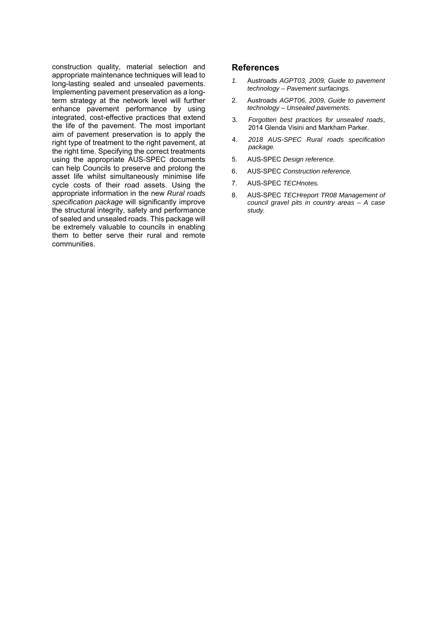construction quality, material selection and appropriate maintenance techniques will lead to long-lasting sealed and unsealed pavements. Implementing pavement preservation as a longterm strategy at the network level will further enhance pavement performance by using integrated, cost-effective practices that extend the life of the pavement. The most important aim of pavement preservation is to apply the right type of treatment to the right pavement, at the right time. Specifying the correct treatments using the appropriate AUS-SPEC documents can help Councils to preserve and prolong the asset life whilst simultaneously minimise life cycle costs of their road assets. Using the appropriate information in the new *Rural roads specification package* will significantly improve the structural integrity, safety and performance of sealed and unsealed roads. This package will be extremely valuable to councils in enabling them to better serve their rural and remote communities.

## **References**

- *1.* Austroads *AGPT03, 2009, Guide to pavement technology – Pavement surfacings.*
- 2. Austroads *AGPT06, 2009, Guide to pavement technology – Unsealed pavements.*
- 3. *Forgotten best practices for unsealed roads*, 2014 Glenda Visini and Markham Parker.
- 4. *2018 AUS-SPEC Rural roads specification package.*
- 5. AUS-SPEC *Design reference.*
- 6. AUS-SPEC *Construction reference.*
- 7. AUS-SPEC *TECHnotes.*
- 8. AUS-SPEC *TECHreport TR08 Management of council gravel pits in country areas – A case study.*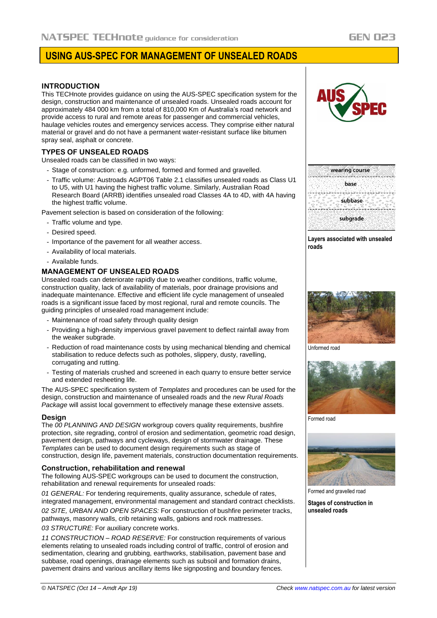# **USING AUS-SPEC FOR MANAGEMENT OF UNSEALED ROADS**

#### **INTRODUCTION**

This TECHnote provides guidance on using the AUS-SPEC specification system for the design, construction and maintenance of unsealed roads. Unsealed roads account for approximately 484 000 km from a total of 810,000 Km of Australia's road network and provide access to rural and remote areas for passenger and commercial vehicles, haulage vehicles routes and emergency services access. They comprise either natural material or gravel and do not have a permanent water-resistant surface like bitumen spray seal, asphalt or concrete.

## **TYPES OF UNSEALED ROADS**

Unsealed roads can be classified in two ways:

- Stage of construction: e.g. unformed, formed and formed and gravelled.
- Traffic volume: Austroads AGPT06 Table 2.1 classifies unsealed roads as Class U1 to U5, with U1 having the highest traffic volume. Similarly, Australian Road Research Board (ARRB) identifies unsealed road Classes 4A to 4D, with 4A having the highest traffic volume.

Pavement selection is based on consideration of the following:

- Traffic volume and type.
- Desired speed.
- Importance of the pavement for all weather access.
- Availability of local materials.
- Available funds.

#### **MANAGEMENT OF UNSEALED ROADS**

Unsealed roads can deteriorate rapidly due to weather conditions, traffic volume, construction quality, lack of availability of materials, poor drainage provisions and inadequate maintenance. Effective and efficient life cycle management of unsealed roads is a significant issue faced by most regional, rural and remote councils. The guiding principles of unsealed road management include:

- Maintenance of road safety through quality design
- Providing a high-density impervious gravel pavement to deflect rainfall away from the weaker subgrade.
- Reduction of road maintenance costs by using mechanical blending and chemical stabilisation to reduce defects such as potholes, slippery, dusty, ravelling, corrugating and rutting.
- Testing of materials crushed and screened in each quarry to ensure better service and extended resheeting life.

The AUS-SPEC specification system of *Templates* and procedures can be used for the design, construction and maintenance of unsealed roads and the *new Rural Roads Package* will assist local government to effectively manage these extensive assets.

#### **Design**

The *00 PLANNING AND DESIGN* workgroup covers quality requirements, bushfire protection, site regrading, control of erosion and sedimentation, geometric road design, pavement design, pathways and cycleways, design of stormwater drainage. These *Templates* can be used to document design requirements such as stage of construction, design life, pavement materials, construction documentation requirements.

#### **Construction, rehabilitation and renewal**

The following AUS-SPEC workgroups can be used to document the construction, rehabilitation and renewal requirements for unsealed roads:

*01 GENERAL:* For tendering requirements, quality assurance, schedule of rates, integrated management, environmental management and standard contract checklists.

*02 SITE, URBAN AND OPEN SPACES:* For construction of bushfire perimeter tracks, pathways, masonry walls, crib retaining walls, gabions and rock mattresses. *03 STRUCTURE:* For auxiliary concrete works.

*11 CONSTRUCTION – ROAD RESERVE:* For construction requirements of various elements relating to unsealed roads including control of traffic, control of erosion and sedimentation, clearing and grubbing, earthworks, stabilisation, pavement base and subbase, road openings, drainage elements such as subsoil and formation drains, pavement drains and various ancillary items like signposting and boundary fences.



**GEN 023** 



**Layers associated with unsealed roads**



Unformed road



Formed road



Formed and gravelled road

**Stages of construction in unsealed roads**